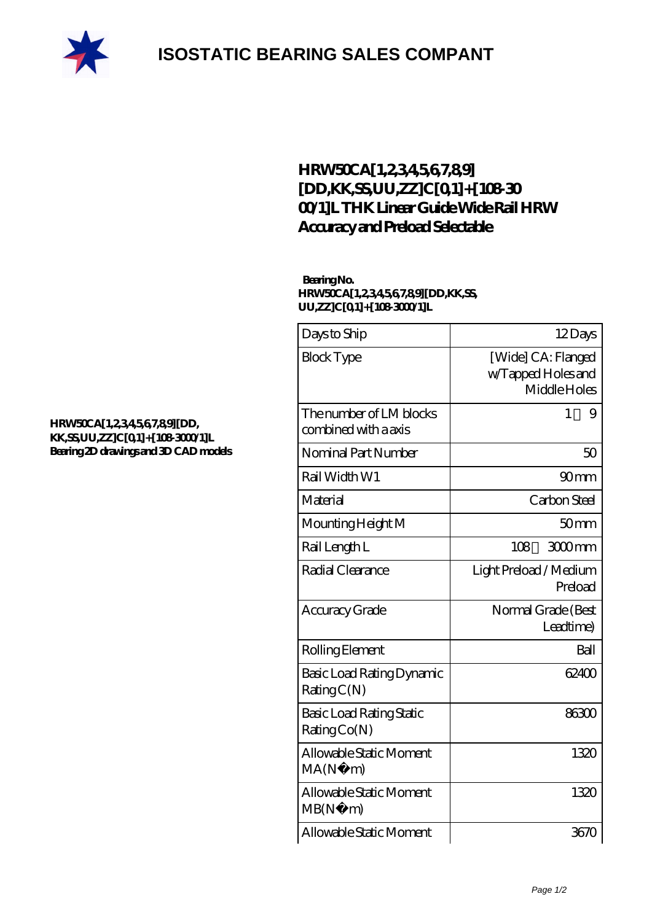

## **[ISOSTATIC BEARING SALES COMPANT](https://m.rebeccakeelingstudios.com)**

### **[HRW50CA\[1,2,3,4,5,6,7,8,9\]](https://m.rebeccakeelingstudios.com/high-temperature-linear-guide/hrw50ca-1-2-3-4-5-6-7-8-9-dd-kk-ss-uu-zz-c-0-1-108-3000-1-l.html) [\[DD,KK,SS,UU,ZZ\]C\[0,1\]+\[108-30](https://m.rebeccakeelingstudios.com/high-temperature-linear-guide/hrw50ca-1-2-3-4-5-6-7-8-9-dd-kk-ss-uu-zz-c-0-1-108-3000-1-l.html) [00/1\]L THK Linear Guide Wide Rail HRW](https://m.rebeccakeelingstudios.com/high-temperature-linear-guide/hrw50ca-1-2-3-4-5-6-7-8-9-dd-kk-ss-uu-zz-c-0-1-108-3000-1-l.html) [Accuracy and Preload Selectable](https://m.rebeccakeelingstudios.com/high-temperature-linear-guide/hrw50ca-1-2-3-4-5-6-7-8-9-dd-kk-ss-uu-zz-c-0-1-108-3000-1-l.html)**

#### **Bearing No. HRW50CA[1,2,3,4,5,6,7,8,9][DD,KK,SS, UU,ZZ]C[0,1]+[108-3000/1]L**

| Days to Ship                                    | 12Days                                                   |
|-------------------------------------------------|----------------------------------------------------------|
| <b>Block Type</b>                               | [Wide] CA: Flanged<br>w/Tapped Holes and<br>Middle Holes |
| The number of LM blocks<br>combined with a axis | 1<br>9                                                   |
| Nominal Part Number                             | 50                                                       |
| Rail Width W1                                   | 90 <sub>mm</sub>                                         |
| Material                                        | Carbon Steel                                             |
| Mounting Height M                               | 50 <sub>mm</sub>                                         |
| Rail Length L                                   | 108<br>$300$ mm                                          |
| Radial Clearance                                | Light Preload / Medium<br>Preload                        |
| Accuracy Grade                                  | Normal Grade (Best<br>Leadtime)                          |
| Rolling Element                                 | Ball                                                     |
| Basic Load Rating Dynamic<br>RatingC(N)         | 62400                                                    |
| <b>Basic Load Rating Static</b><br>Rating Co(N) | 86300                                                    |
| Allowable Static Moment<br>MA(N)<br>m)          | 1320                                                     |
| Allowable Static Moment<br>MB(N)<br>m)          | 1320                                                     |
| Allowable Static Moment                         | 3670                                                     |

#### **[HRW50CA\[1,2,3,4,5,6,7,8,9\]\[DD,](https://m.rebeccakeelingstudios.com/pic-658793.html) [KK,SS,UU,ZZ\]C\[0,1\]+\[108-3000/1\]L](https://m.rebeccakeelingstudios.com/pic-658793.html) [Bearing 2D drawings and 3D CAD models](https://m.rebeccakeelingstudios.com/pic-658793.html)**